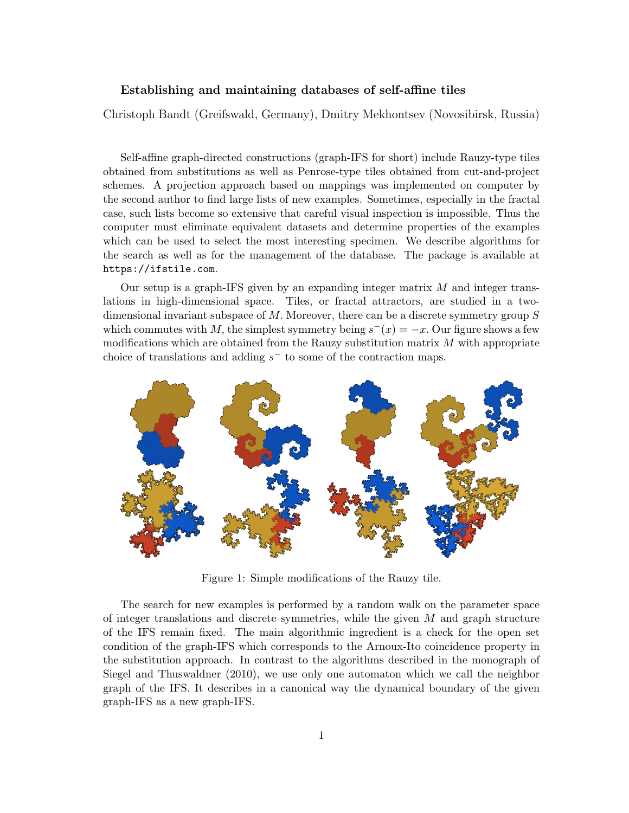## Establishing and maintaining databases of self-affine tiles

Christoph Bandt (Greifswald, Germany), Dmitry Mekhontsev (Novosibirsk, Russia)

Self-affine graph-directed constructions (graph-IFS for short) include Rauzy-type tiles obtained from substitutions as well as Penrose-type tiles obtained from cut-and-project schemes. A projection approach based on mappings was implemented on computer by the second author to find large lists of new examples. Sometimes, especially in the fractal case, such lists become so extensive that careful visual inspection is impossible. Thus the computer must eliminate equivalent datasets and determine properties of the examples which can be used to select the most interesting specimen. We describe algorithms for the search as well as for the management of the database. The package is available at https://ifstile.com.

Our setup is a graph-IFS given by an expanding integer matrix  $M$  and integer translations in high-dimensional space. Tiles, or fractal attractors, are studied in a twodimensional invariant subspace of M. Moreover, there can be a discrete symmetry group S which commutes with M, the simplest symmetry being  $s^-(x) = -x$ . Our figure shows a few modifications which are obtained from the Rauzy substitution matrix  $M$  with appropriate choice of translations and adding  $s^-$  to some of the contraction maps.



Figure 1: Simple modifications of the Rauzy tile.

The search for new examples is performed by a random walk on the parameter space of integer translations and discrete symmetries, while the given  $M$  and graph structure of the IFS remain fixed. The main algorithmic ingredient is a check for the open set condition of the graph-IFS which corresponds to the Arnoux-Ito coincidence property in the substitution approach. In contrast to the algorithms described in the monograph of Siegel and Thuswaldner (2010), we use only one automaton which we call the neighbor graph of the IFS. It describes in a canonical way the dynamical boundary of the given graph-IFS as a new graph-IFS.